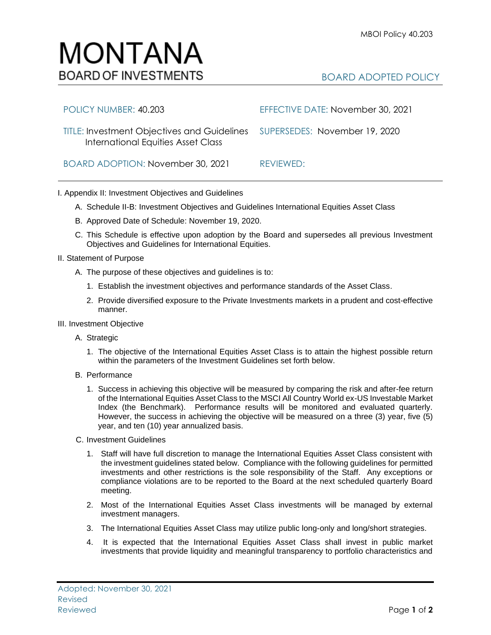## MONTANA **BOARD OF INVESTMENTS**

## BOARD ADOPTED POLICY

| POLICY NUMBER: 40.203                                                                                           | EFFECTIVE DATE: November 30, 2021 |
|-----------------------------------------------------------------------------------------------------------------|-----------------------------------|
| TITLE: Investment Objectives and Guidelines SUPERSEDES: November 19, 2020<br>International Equities Asset Class |                                   |
| BOARD ADOPTION: November 30, 2021                                                                               | REVIEWED:                         |

## I. Appendix II: Investment Objectives and Guidelines

- A. Schedule II-B: Investment Objectives and Guidelines International Equities Asset Class
- B. Approved Date of Schedule: November 19, 2020.
- C. This Schedule is effective upon adoption by the Board and supersedes all previous Investment Objectives and Guidelines for International Equities.
- II. Statement of Purpose
	- A. The purpose of these objectives and guidelines is to:
		- 1. Establish the investment objectives and performance standards of the Asset Class.
		- 2. Provide diversified exposure to the Private Investments markets in a prudent and cost-effective manner.
- III. Investment Objective
	- A. Strategic
		- 1. The objective of the International Equities Asset Class is to attain the highest possible return within the parameters of the Investment Guidelines set forth below.
	- B. Performance
		- 1. Success in achieving this objective will be measured by comparing the risk and after-fee return of the International Equities Asset Class to the MSCI All Country World ex-US Investable Market Index (the Benchmark). Performance results will be monitored and evaluated quarterly. However, the success in achieving the objective will be measured on a three (3) year, five (5) year, and ten (10) year annualized basis.
	- C. Investment Guidelines
		- 1. Staff will have full discretion to manage the International Equities Asset Class consistent with the investment guidelines stated below. Compliance with the following guidelines for permitted investments and other restrictions is the sole responsibility of the Staff. Any exceptions or compliance violations are to be reported to the Board at the next scheduled quarterly Board meeting.
		- 2. Most of the International Equities Asset Class investments will be managed by external investment managers.
		- 3. The International Equities Asset Class may utilize public long-only and long/short strategies.
		- 4. It is expected that the International Equities Asset Class shall invest in public market investments that provide liquidity and meaningful transparency to portfolio characteristics and